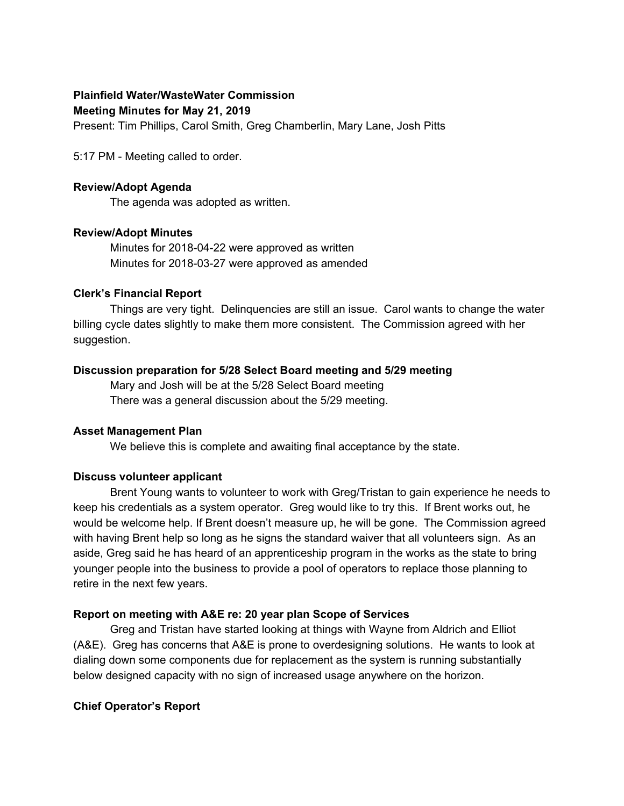# **Plainfield Water/WasteWater Commission**

#### **Meeting Minutes for May 21, 2019**

Present: Tim Phillips, Carol Smith, Greg Chamberlin, Mary Lane, Josh Pitts

5:17 PM - Meeting called to order.

#### **Review/Adopt Agenda**

The agenda was adopted as written.

## **Review/Adopt Minutes**

Minutes for 2018-04-22 were approved as written Minutes for 2018-03-27 were approved as amended

## **Clerk's Financial Report**

Things are very tight. Delinquencies are still an issue. Carol wants to change the water billing cycle dates slightly to make them more consistent. The Commission agreed with her suggestion.

## **Discussion preparation for 5/28 Select Board meeting and 5/29 meeting**

Mary and Josh will be at the 5/28 Select Board meeting There was a general discussion about the 5/29 meeting.

## **Asset Management Plan**

We believe this is complete and awaiting final acceptance by the state.

## **Discuss volunteer applicant**

Brent Young wants to volunteer to work with Greg/Tristan to gain experience he needs to keep his credentials as a system operator. Greg would like to try this. If Brent works out, he would be welcome help. If Brent doesn't measure up, he will be gone. The Commission agreed with having Brent help so long as he signs the standard waiver that all volunteers sign. As an aside, Greg said he has heard of an apprenticeship program in the works as the state to bring younger people into the business to provide a pool of operators to replace those planning to retire in the next few years.

## **Report on meeting with A&E re: 20 year plan Scope of Services**

Greg and Tristan have started looking at things with Wayne from Aldrich and Elliot (A&E). Greg has concerns that A&E is prone to overdesigning solutions. He wants to look at dialing down some components due for replacement as the system is running substantially below designed capacity with no sign of increased usage anywhere on the horizon.

## **Chief Operator's Report**